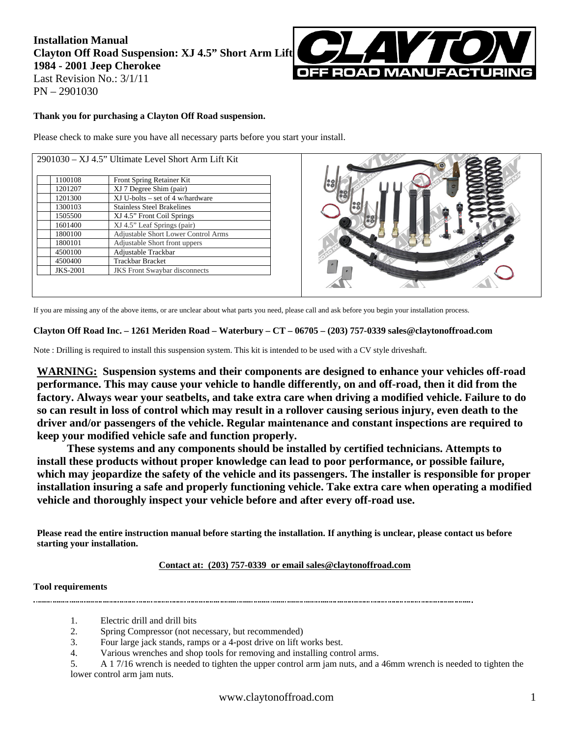## **Installation Manual Clayton Off Road Suspension: XJ 4.5" Short Arm Lift 1984 - 2001 Jeep Cherokee**  Last Revision No.: 3/1/11 PN – 2901030



**Thank you for purchasing a Clayton Off Road suspension.** 

Please check to make sure you have all necessary parts before you start your install.

| 1100108         | Front Spring Retainer Kit            |
|-----------------|--------------------------------------|
| 1201207         | XJ 7 Degree Shim (pair)              |
| 1201300         | $XJ$ U-bolts – set of 4 w/hardware   |
| 1300103         | <b>Stainless Steel Brakelines</b>    |
| 1505500         | XJ 4.5" Front Coil Springs           |
| 1601400         | XJ 4.5" Leaf Springs (pair)          |
| 1800100         | Adjustable Short Lower Control Arms  |
| 1800101         | Adjustable Short front uppers        |
| 4500100         | Adjustable Trackbar                  |
| 4500400         | <b>Trackbar Bracket</b>              |
| <b>JKS-2001</b> | <b>JKS</b> Front Swaybar disconnects |



If you are missing any of the above items, or are unclear about what parts you need, please call and ask before you begin your installation process.

#### **Clayton Off Road Inc. – 1261 Meriden Road – Waterbury – CT – 06705 – (203) 757-0339 sales@claytonoffroad.com**

Note : Drilling is required to install this suspension system. This kit is intended to be used with a CV style driveshaft.

**WARNING: Suspension systems and their components are designed to enhance your vehicles off-road performance. This may cause your vehicle to handle differently, on and off-road, then it did from the factory. Always wear your seatbelts, and take extra care when driving a modified vehicle. Failure to do so can result in loss of control which may result in a rollover causing serious injury, even death to the driver and/or passengers of the vehicle. Regular maintenance and constant inspections are required to keep your modified vehicle safe and function properly.** 

**These systems and any components should be installed by certified technicians. Attempts to install these products without proper knowledge can lead to poor performance, or possible failure, which may jeopardize the safety of the vehicle and its passengers. The installer is responsible for proper installation insuring a safe and properly functioning vehicle. Take extra care when operating a modified vehicle and thoroughly inspect your vehicle before and after every off-road use.**

**Please read the entire instruction manual before starting the installation. If anything is unclear, please contact us before starting your installation.** 

#### **Contact at: (203) 757-0339 or email sales@claytonoffroad.com**

#### **Tool requirements**

1. Electric drill and drill bits

- 2. Spring Compressor (not necessary, but recommended)
- 3. Four large jack stands, ramps or a 4-post drive on lift works best.
- 4. Various wrenches and shop tools for removing and installing control arms.

<sup>5.</sup> A 1 7/16 wrench is needed to tighten the upper control arm jam nuts, and a 46mm wrench is needed to tighten the lower control arm jam nuts.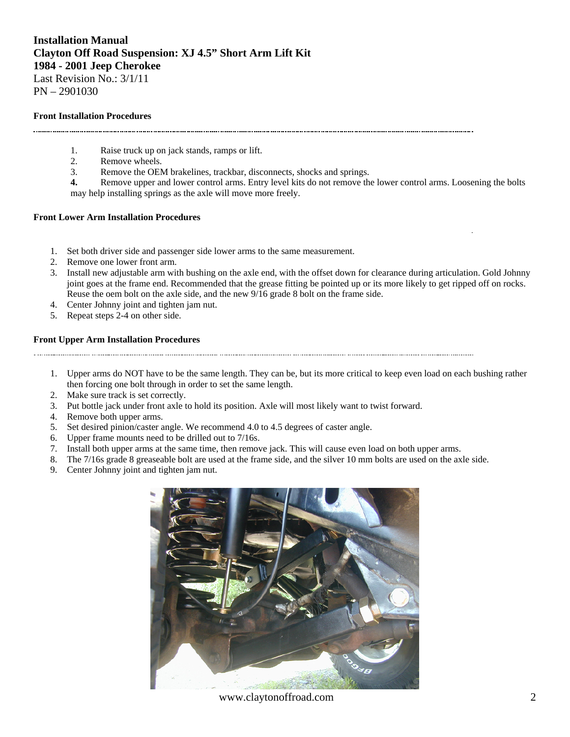## **Installation Manual Clayton Off Road Suspension: XJ 4.5" Short Arm Lift Kit 1984 - 2001 Jeep Cherokee**  Last Revision No.: 3/1/11

PN – 2901030

#### **Front Installation Procedures**

- 1. Raise truck up on jack stands, ramps or lift.
- 2. Remove wheels.
- 3. Remove the OEM brakelines, trackbar, disconnects, shocks and springs.
- **4.** Remove upper and lower control arms. Entry level kits do not remove the lower control arms. Loosening the bolts may help installing springs as the axle will move more freely.

#### **Front Lower Arm Installation Procedures**

- 1. Set both driver side and passenger side lower arms to the same measurement.
- 2. Remove one lower front arm.
- 3. Install new adjustable arm with bushing on the axle end, with the offset down for clearance during articulation. Gold Johnny joint goes at the frame end. Recommended that the grease fitting be pointed up or its more likely to get ripped off on rocks. Reuse the oem bolt on the axle side, and the new 9/16 grade 8 bolt on the frame side.
- 4. Center Johnny joint and tighten jam nut.
- 5. Repeat steps 2-4 on other side.

#### **Front Upper Arm Installation Procedures**

- 1. Upper arms do NOT have to be the same length. They can be, but its more critical to keep even load on each bushing rather then forcing one bolt through in order to set the same length.
- 2. Make sure track is set correctly.
- 3. Put bottle jack under front axle to hold its position. Axle will most likely want to twist forward.
- 4. Remove both upper arms.
- 5. Set desired pinion/caster angle. We recommend 4.0 to 4.5 degrees of caster angle.
- 6. Upper frame mounts need to be drilled out to 7/16s.
- 7. Install both upper arms at the same time, then remove jack. This will cause even load on both upper arms.
- 8. The 7/16s grade 8 greaseable bolt are used at the frame side, and the silver 10 mm bolts are used on the axle side.
- 9. Center Johnny joint and tighten jam nut.



www.claytonoffroad.com 2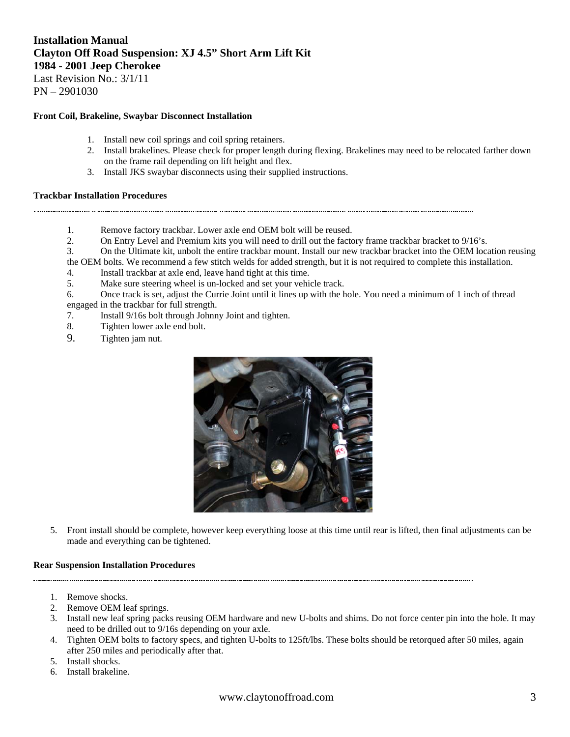# **Installation Manual Clayton Off Road Suspension: XJ 4.5" Short Arm Lift Kit 1984 - 2001 Jeep Cherokee**

Last Revision No.: 3/1/11 PN – 2901030

#### **Front Coil, Brakeline, Swaybar Disconnect Installation**

- 1. Install new coil springs and coil spring retainers.
- 2. Install brakelines. Please check for proper length during flexing. Brakelines may need to be relocated farther down on the frame rail depending on lift height and flex.
- 3. Install JKS swaybar disconnects using their supplied instructions.

#### **Trackbar Installation Procedures**

- - 1. Remove factory trackbar. Lower axle end OEM bolt will be reused.
	- 2. On Entry Level and Premium kits you will need to drill out the factory frame trackbar bracket to 9/16's.
	- 3. On the Ultimate kit, unbolt the entire trackbar mount. Install our new trackbar bracket into the OEM location reusing

the OEM bolts. We recommend a few stitch welds for added strength, but it is not required to complete this installation.

- 4. Install trackbar at axle end, leave hand tight at this time.
- 5. Make sure steering wheel is un-locked and set your vehicle track.
- 6. Once track is set, adjust the Currie Joint until it lines up with the hole. You need a minimum of 1 inch of thread engaged in the trackbar for full strength.
- 7. Install 9/16s bolt through Johnny Joint and tighten.
- 8. Tighten lower axle end bolt.
- 9. Tighten jam nut.



5. Front install should be complete, however keep everything loose at this time until rear is lifted, then final adjustments can be made and everything can be tightened.

#### **Rear Suspension Installation Procedures**

- 1. Remove shocks.
- 2. Remove OEM leaf springs.
- 3. Install new leaf spring packs reusing OEM hardware and new U-bolts and shims. Do not force center pin into the hole. It may need to be drilled out to 9/16s depending on your axle.
- 4. Tighten OEM bolts to factory specs, and tighten U-bolts to 125ft/lbs. These bolts should be retorqued after 50 miles, again after 250 miles and periodically after that.
- 5. Install shocks.
- 6. Install brakeline.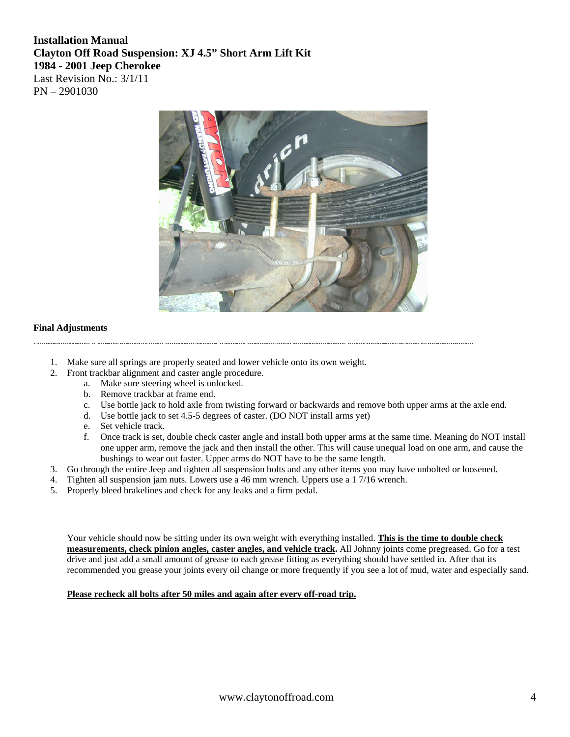## **Installation Manual Clayton Off Road Suspension: XJ 4.5" Short Arm Lift Kit 1984 - 2001 Jeep Cherokee**  Last Revision No.: 3/1/11 PN – 2901030



#### **Final Adjustments**

- 1. Make sure all springs are properly seated and lower vehicle onto its own weight.
- 2. Front trackbar alignment and caster angle procedure.
	- a. Make sure steering wheel is unlocked.
	- b. Remove trackbar at frame end.
	- c. Use bottle jack to hold axle from twisting forward or backwards and remove both upper arms at the axle end.
	- d. Use bottle jack to set 4.5-5 degrees of caster. (DO NOT install arms yet)
	- e. Set vehicle track.
	- f. Once track is set, double check caster angle and install both upper arms at the same time. Meaning do NOT install one upper arm, remove the jack and then install the other. This will cause unequal load on one arm, and cause the bushings to wear out faster. Upper arms do NOT have to be the same length.
- 3. Go through the entire Jeep and tighten all suspension bolts and any other items you may have unbolted or loosened.
- 4. Tighten all suspension jam nuts. Lowers use a 46 mm wrench. Uppers use a 1 7/16 wrench.
- 5. Properly bleed brakelines and check for any leaks and a firm pedal.

Your vehicle should now be sitting under its own weight with everything installed. **This is the time to double check measurements, check pinion angles, caster angles, and vehicle track.** All Johnny joints come pregreased. Go for a test drive and just add a small amount of grease to each grease fitting as everything should have settled in. After that its recommended you grease your joints every oil change or more frequently if you see a lot of mud, water and especially sand.

#### **Please recheck all bolts after 50 miles and again after every off-road trip.**